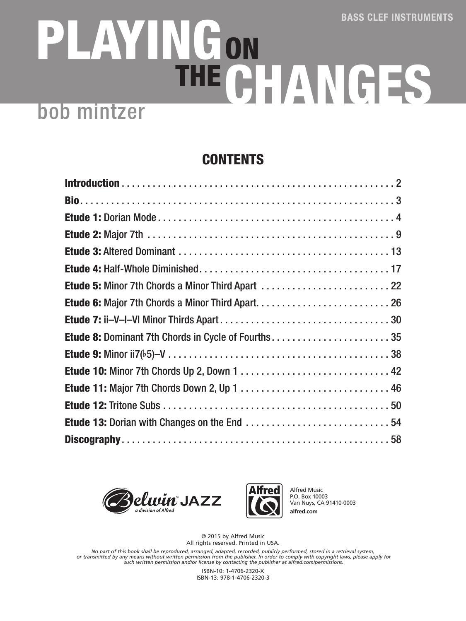## PLAYING CHANGES ON THE bob mintzer

## CONTENTS

| Etude 5: Minor 7th Chords a Minor Third Apart  22  |
|----------------------------------------------------|
|                                                    |
|                                                    |
| Etude 8: Dominant 7th Chords in Cycle of Fourths35 |
|                                                    |
|                                                    |
|                                                    |
|                                                    |
|                                                    |
|                                                    |





Alfred Music P.O. Box 10003 Van Nuys, CA 91410-0003 **alfred.com**

© 2015 by Alfred Music All rights reserved. Printed in USA.

*No part of this book shall be reproduced, arranged, adapted, recorded, publicly performed, stored in a retrieval system, or transmitted by any means without written permission from the publisher. In order to comply with copyright laws, please apply for such written permission and/or license by contacting the publisher at alfred.com/permissions.*

> ISBN-10: 1-4706-2320-X ISBN-13: 978-1-4706-2320-3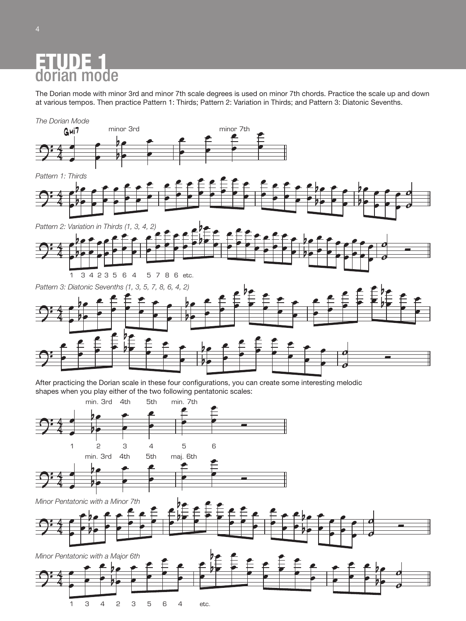## **Etude 1: Dorian** dorian mode ETUDE 1<br>dorian mode

Bass Clef Instruments e Pattern 1: Thirds; Pattern 2: Variation in Thirds; and Pattern ninor 3rd and minor 7th scale degrees is used on minor<br>1 practice Pattern 1: Thirds; Pattern 2: Variation in Thir<br>1 practice Pattern 1: Thirds; Pattern 2: Variation in Thir The Dorian mode with minor 3rd and minor 7th scale degrees is used on minor 7th chords. Practice the scale up and down<br>at various tempos. Then practice Pattern 1: Thirds: Pattern 2: Variation in Thirds: and Pattern 3: Diat at various tempos. Then practice Pattern 1: Thirds; Pattern 2: Variation in Thirds; and Pattern<br> at various tempos. Then practice Pattern 1: Thirds; Pattern 2: Variation in Thirds; and Pattern 3: Diatonic Sevenths.<br>. Bass Clef Instruments

**Etude 1: Dorian**

**Etude 1: Dorian**



After practicing the Dorian scale in these four configurations, you can cre<br>shapes when you play either of the two following pentatonic scales:<br>min. 3rd 4th 5th min. 7th se four comigurations, you can create so<br>o following pentatonic scales: example the Dorian scale in these four configurations, you can create so<br>example the two following pertatoric scales: **Letter**<br>ate some intere After practicing the Dorian scale in these four configurations, you can create some interesting melodic



b œ œ  $\overline{A}$  $\overline{\mathbf{z}}$  $\overline{a}$ œ  $\overline{\mathsf{L}}$ œ œ  $\equiv$ œ  $\equiv$ bœ  $\frac{1}{\alpha}$ œ  $\equiv$ œ œ œ œ œ œ œ œ œ œ œ œ œ œ œ œ bœ  $\equiv$ œ œ œ œ œ ˙ ˙ <sup>Ó</sup>  $9:4$  $\frac{4}{7}$ |<br>| œ œ œ bœ  $b \cdot f$ œ œ œ Minor Pentatonic with a Minor 7th.<br>
e le ce de C œ œ œ œ œ œ œ œ bÞ )<br>¦€ e |<br>E œ œ œ œ œ œ œ œ œ œ œ œ œ œ œ œ œ bœ  $b$  e  $\uparrow$ |<br>P œ œ œ œ œ |<br>|  $\overline{\mathbf{c}}$ o<br>o  $\bigcap: 4$  $\overline{a}$ œ œ pe<br>L œ œ œ œ œ œ œ be<br>L⊞  $b$   $\bullet$ œ œ œ œ œ œ œ œ œ œ œ pe<br>L  $\mathbf{b}$ œ  $\overline{\mathsf{R}}$ **with the contract of the contract of the contract of the contract of the contract of the contract of the contract of the contract of the contract of the contract of the contract of the contract of the contract of the cont** œ œ œ ˙  $\overline{\mathfrak{o}}$ Minor Pentatonic with a Minor 7th.<br>e **h**e **e e f f** œ .<br>∽ b œ œ  $\overline{L}$ œ Minor pentatonic with minor 7th. œ œ b œ œ œ œ œ œ œ œ œ œ œ œ b œ œ  $\overline{ }$  $4 \bullet$ œ  $\overline{a}$ œ bœ  $\frac{1}{2}$  $\overline{a}$ œ œ œ œ œ œ œ œ  $\bullet$  below  $\vdash$ œ œ œ bœ  $\frac{1}{2}$ œ œ œ œ œ œ œ œ œ œ œ œ œ œ œ œ œ œ bœ  $\frac{1}{2}$ œ œ œ Ļ œ  $\vec{e}$  $\overline{\ }$  $2^{\frac{1}{4}}$  $rac{4}{4}$  $\overline{\phantom{a}}$ œ œ œ  $\mathbb{Z}$  $\frac{b}{b}$   $\frac{c}{c}$ œ œ œ œ œ œ œ œ œ œ œ œ  $\frac{p}{\epsilon}$ p e<br>De E œ œ œ œ œ œ œ œ œ œ œ Ê œ œ œ œ œ œ  $\int$  $\frac{1}{2}$ œ œ œ œ œ œ œ  $\frac{\bm o}{\bm A}$  $\overline{\mathcal{O}}$  $\sqrt{2}$  $e^{\frac{1}{2}t}e^{\frac{1}{2}t}e^{\frac{1}{2}t}e^{\frac{1}{2}t}e^{\frac{1}{2}t}e^{\frac{1}{2}t}$  $\frac{p}{p}$  =  $\frac{p}{p}$  =  $\frac{p}{p}$  =  $\frac{p}{p}$  =  $\frac{p}{p}$  =  $\frac{p}{p}$  =  $\frac{p}{p}$  =  $\frac{p}{p}$  =  $\frac{p}{p}$  =  $\frac{p}{p}$  =  $\frac{p}{p}$  =  $\frac{p}{p}$  =  $\frac{p}{p}$  =  $\frac{p}{p}$  =  $\frac{p}{p}$  =  $\frac{p}{p}$  =  $\frac{p}{p}$  =  $\frac{p}{p}$  =  $\frac{p$ ∈∈e ∈eebe<br>e e e e ebe  $\frac{1}{2}$ œ **e pri**  $\overline{\mathcal{O}}$ b œ œ  $\overline{\mathcal{L}}$ œ œ œ œ ┢ œ œ  $\overline{a}$ œ œ bœ  $\rightarrow$ œ œ  $\frac{1}{2}$ œ  $\equiv$ œ ≘<br>— œ œ œ œ œ œ œ œ bœ  $\frac{1}{\sqrt{2}}$ œ œ œ ┇ œ œ œ ˙  $\overline{\phantom{a}}$